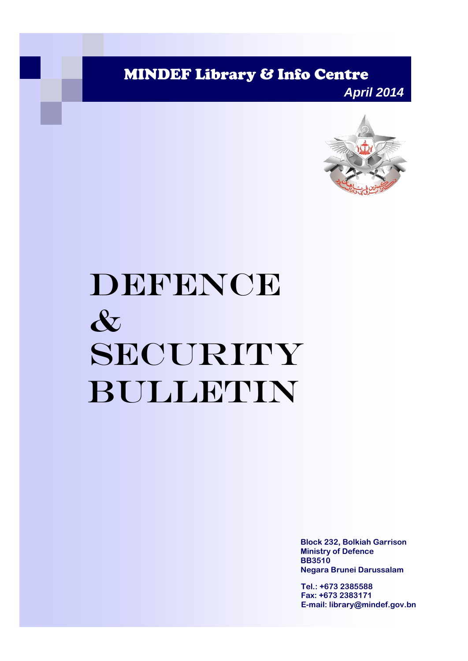MINDEF Library & Info Centre

*April 2014*



# DEFENCE & SECURITY Bulletin

**Block 232, Bolkiah Garrison Ministry of Defence BB3510 Negara Brunei Darussalam**

**Tel.: +673 2385588 Fax: +673 2383171 E-mail: library@mindef.gov.bn**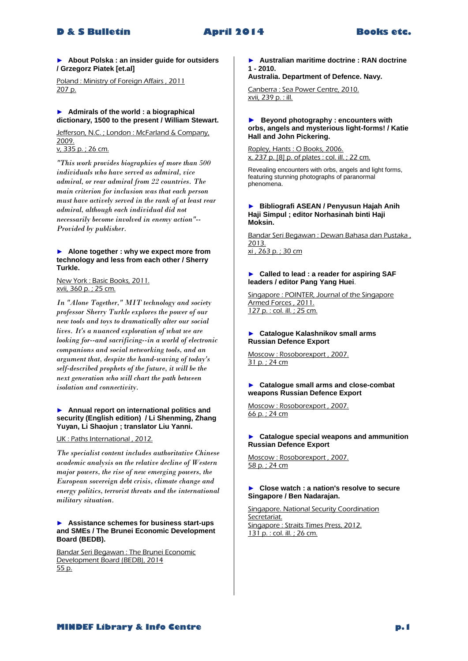► **About Polska : an insider guide for outsiders / Grzegorz Piatek [et.al]**

Poland : Ministry of Foreign Affairs , 2011 207 p.

#### ► **Admirals of the world : a biographical dictionary, 1500 to the present / William Stewart.**

Jefferson, N.C.; London: McFarland & Company, 2009.

v, 335 p. ; 26 cm.

*"This work provides biographies of more than 500 individuals who have served as admiral, vice admiral, or rear admiral from 22 countries. The main criterion for inclusion was that each person must have actively served in the rank of at least rear admiral, although each individual did not necessarily become involved in enemy action"-- Provided by publisher.* 

#### ► **Alone together : why we expect more from technology and less from each other / Sherry Turkle.**

New York : Basic Books, 2011. xvii, 360 p. ; 25 cm.

*In "Alone Together," MIT technology and society professor Sherry Turkle explores the power of our new tools and toys to dramatically alter our social lives. It's a nuanced exploration of what we are looking for--and sacrificing--in a world of electronic companions and social networking tools, and an argument that, despite the hand-waving of today's self-described prophets of the future, it will be the next generation who will chart the path between isolation and connectivity.* 

#### ► **Annual report on international politics and security (English edition) / Li Shenming, Zhang Yuyan, Li Shaojun ; translator Liu Yanni.**

UK : Paths International , 2012.

*The specialist content includes authoritative Chinese academic analysis on the relative decline of Western major powers, the rise of new emerging powers, the European sovereign debt crisis, climate change and energy politics, terrorist threats and the international military situation.* 

#### ► **Assistance schemes for business start-ups and SMEs / The Brunei Economic Development Board (BEDB).**

Bandar Seri Begawan : The Brunei Economic Development Board (BEDB), 2014 55 p.

► **Australian maritime doctrine : RAN doctrine 1 - 2010.**

**Australia. Department of Defence. Navy.**

Canberra : Sea Power Centre, 2010. xvii, 239 p. : ill.

#### **► Beyond photography : encounters with orbs, angels and mysterious light-forms! / Katie Hall and John Pickering.**

Ropley, Hants : O Books, 2006. x, 237 p. [8] p. of plates : col. ill. ; 22 cm.

Revealing encounters with orbs, angels and light forms, featuring stunning photographs of paranormal phenomena.

#### ► **Bibliografi ASEAN / Penyusun Hajah Anih Haji Simpul ; editor Norhasinah binti Haji Moksin.**

Bandar Seri Begawan : Dewan Bahasa dan Pustaka , 2013. xi , 263 p. ; 30 cm

#### ► **Called to lead : a reader for aspiring SAF leaders / editor Pang Yang Huei**.

Singapore : POINTER, Journal of the Singapore Armed Forces , 2011. 127 p. : col. ill. ; 25 cm.

#### ► **Catalogue Kalashnikov small arms Russian Defence Export**

Moscow : Rosoborexport , 2007. 31 p. ; 24 cm

► **Catalogue small arms and close-combat weapons Russian Defence Export**

Moscow : Rosoborexport , 2007. 66 p. ; 24 cm

#### ► **Catalogue special weapons and ammunition Russian Defence Export**

Moscow : Rosoborexport , 2007. 58 p. ; 24 cm

#### ► **Close watch : a nation's resolve to secure Singapore / Ben Nadarajan.**

Singapore. National Security Coordination Secretariat. Singapore : Straits Times Press, 2012. 131 p. : col. ill. ; 26 cm.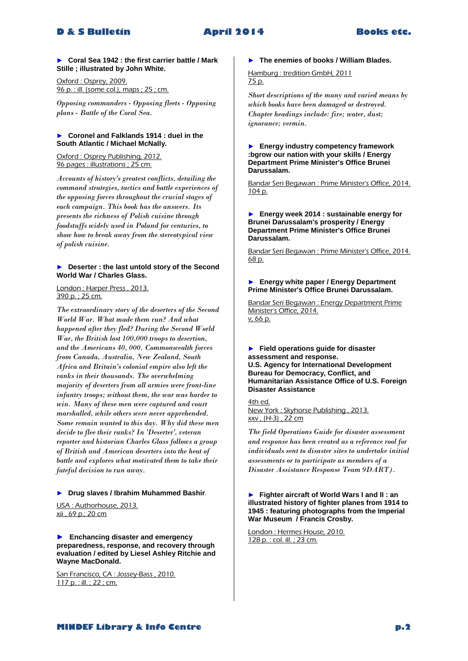► **Coral Sea 1942 : the first carrier battle / Mark Stille ; illustrated by John White.**

Oxford : Osprey, 2009. 96 p. : ill. (some col.), maps ; 25 ; cm.

*Opposing commanders - Opposing fleets - Opposing plans - Battle of the Coral Sea.* 

#### ► **Coronel and Falklands 1914 : duel in the South Atlantic / Michael McNally.**

Oxford : Osprey Publishing, 2012. 96 pages : illustrations ; 25 cm.

*Accounts of history's greatest conflicts, detailing the command strategies, tactics and battle experiences of the opposing forces throughout the crucial stages of each campaign. This book has the answers. Its presents the richness of Polish cuisine through foodstuffs widely used in Poland for centuries, to show how to break away from the stereotypical view of polish cuisine.* 

# ► **Deserter : the last untold story of the Second World War / Charles Glass.**

# London : Harper Press, 2013. 390 p. ; 25 cm.

*The extraordinary story of the deserters of the Second World War. What made them run? And what happened after they fled? During the Second World War, the British lost 100,000 troops to desertion, and the Americans 40, 000. Commonwealth forces from Canada, Australia, New Zealand, South Africa and Britain's colonial empire also left the ranks in their thousands. The overwhelming majority of deserters from all armies were front-line infantry troops; without them, the war was harder to win. Many of these men were captured and court marshalled, while others were never apprehended. Some remain wanted to this day. Why did these men decide to flee their ranks? In 'Deserter', veteran reporter and historian Charles Glass follows a group of British and American deserters into the heat of battle and explores what motivated them to take their fateful decision to run away.* 

#### ► **Drug slaves / Ibrahim Muhammed Bashir**.

USA : Authorhouse, 2013. xii , 69 p.; 20 cm

**► Enchancing disaster and emergency preparedness, response, and recovery through evaluation / edited by Liesel Ashley Ritchie and Wayne MacDonald.**

San Francisco, CA : Jossey-Bass, 2010. 117 p. : ill. ; 22 ; cm.

# ► **The enemies of books / William Blades.**

Hamburg : tredition GmbH, 2011 75 p.

*Short descriptions of the many and varied means by which books have been damaged or destroyed. Chapter headings include: fire; water, dust; ignorance; vermin.* 

#### ► **Energy industry competency framework :bgrow our nation with your skills / Energy Department Prime Minister's Office Brunei Darussalam.**

Bandar Seri Begawan : Prime Minister's Office, 2014. 104 p.

#### ► **Energy week 2014 : sustainable energy for Brunei Darussalam's prosperity / Energy Department Prime Minister's Office Brunei Darussalam.**

Bandar Seri Begawan : Prime Minister's Office, 2014. 68 p.

#### ► **Energy white paper / Energy Department Prime Minister's Office Brunei Darussalam.**

Bandar Seri Begawan : Energy Department Prime Minister's Office, 2014. v, 66 p.

► **Field operations guide for disaster assessment and response. U.S. Agency for International Development Bureau for Democracy, Conflict, and Humanitarian Assistance Office of U.S. Foreign Disaster Assistance**

4th ed. New York : Skyhorse Publishing , 2013. xxv , (H-3) , 22 cm

*The field Operations Guide for disaster assessment and response has been created as a reference rool for individuals sent to disaster sites to undertake initial assessments or to participate as members of a Disaster Assistance Response Team 9DART).* 

#### ► **Fighter aircraft of World Wars I and II : an illustrated history of fighter planes from 1914 to 1945 : featuring photographs from the Imperial War Museum / Francis Crosby.**

London : Hermes House, 2010. 128 p. : col. ill. ; 23 cm.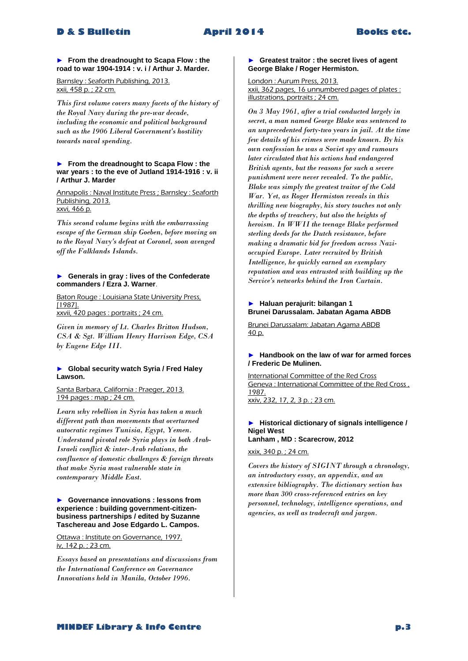### ► **From the dreadnought to Scapa Flow : the road to war 1904-1914 : v. i / Arthur J. Marder.**

Barnsley : Seaforth Publishing, 2013. xxii, 458 p. ; 22 cm.

*This first volume covers many facets of the history of the Royal Navy during the pre-war decade, including the economic and political background such as the 1906 Liberal Government's hostility towards naval spending.* 

#### ► **From the dreadnought to Scapa Flow : the war years : to the eve of Jutland 1914-1916 : v. ii / Arthur J. Marder**

Annapolis : Naval Institute Press ; Barnsley : Seaforth Publishing, 2013. xxvi, 466 p.

*This second volume begins with the embarrassing escape of the German ship Goeben, before moving on to the Royal Navy's defeat at Coronel, soon avenged off the Falklands Islands.* 

#### ► **Generals in gray : lives of the Confederate commanders / Ezra J. Warner**.

Baton Rouge : Louisiana State University Press, [1987]. xxvii, 420 pages : portraits ; 24 cm.

*Given in memory of Lt. Charles Britton Hudson, CSA & Sgt. William Henry Harrison Edge, CSA by Eugene Edge III.* 

# ► **Global security watch Syria / Fred Haley Lawson.**

Santa Barbara, California : Praeger, 2013. 194 pages : map ; 24 cm.

*Learn why rebellion in Syria has taken a much different path than movements that overturned autocratic regimes Tunisia, Egypt, Yemen. Understand pivotal role Syria plays in both Arab-Israeli conflict & inter-Arab relations, the confluence of domestic challenges & foreign threats that make Syria most vulnerable state in contemporary Middle East.* 

#### ► **Governance innovations : lessons from experience : building government-citizenbusiness partnerships / edited by Suzanne Taschereau and Jose Edgardo L. Campos.**

Ottawa : Institute on Governance, 1997. iv, 142 p. ; 23 cm.

*Essays based on presentations and discussions from the International Conference on Governance Innovations held in Manila, October 1996.* 

### ► **Greatest traitor : the secret lives of agent George Blake / Roger Hermiston.**

London : Aurum Press, 2013. xxii, 362 pages, 16 unnumbered pages of plates : illustrations, portraits ; 24 cm.

*On 3 May 1961, after a trial conducted largely in secret, a man named George Blake was sentenced to an unprecedented forty-two years in jail. At the time few details of his crimes were made known. By his own confession he was a Soviet spy and rumours later circulated that his actions had endangered British agents, but the reasons for such a severe punishment were never revealed. To the public, Blake was simply the greatest traitor of the Cold War. Yet, as Roger Hermiston reveals in this thrilling new biography, his story touches not only the depths of treachery, but also the heights of heroism. In WWII the teenage Blake performed sterling deeds for the Dutch resistance, before making a dramatic bid for freedom across Nazioccupied Europe. Later recruited by British Intelligence, he quickly earned an exemplary reputation and was entrusted with building up the Service's networks behind the Iron Curtain.* 

# ► **Haluan perajurit: bilangan 1 Brunei Darussalam. Jabatan Agama ABDB**

Brunei Darussalam: Jabatan Agama ABDB 40 p.

# ► **Handbook on the law of war for armed forces / Frederic De Mulinen.**

International Committee of the Red Cross Geneva : International Committee of the Red Cross , 1987. xxiv, 232, 17, 2, 3 p. ; 23 cm.

#### ► **Historical dictionary of signals intelligence / Nigel West Lanham , MD : Scarecrow, 2012**

xxix, 340 p. ; 24 cm.

*Covers the history of SIGINT through a chronology, an introductory essay, an appendix, and an extensive bibliography. The dictionary section has more than 300 cross-referenced entries on key personnel, technology, intelligence operations, and agencies, as well as tradecraft and jargon.*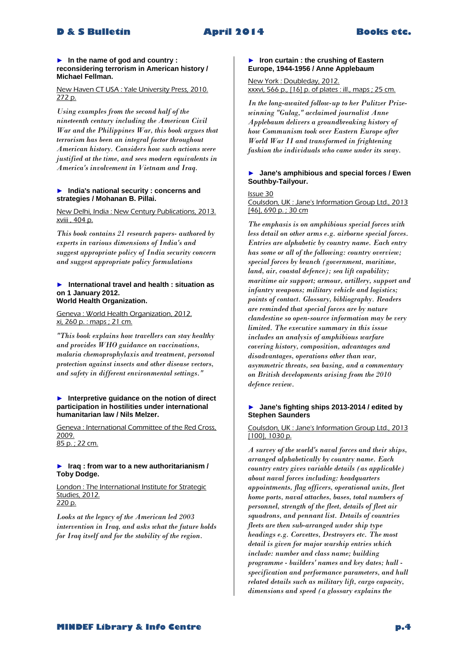#### ► **In the name of god and country : reconsidering terrorism in American history / Michael Fellman.**

### New Haven CT USA : Yale University Press, 2010. 272 p.

*Using examples from the second half of the nineteenth century including the American Civil War and the Philippines War, this book argues that terrorism has been an integral factor throughout American history. Considers how such actions were justified at the time, and sees modern equivalents in America's involvement in Vietnam and Iraq.* 

#### ► **India's national security : concerns and strategies / Mohanan B. Pillai.**

New Delhi, India : New Century Publications, 2013. xviii , 404 p.

*This book contains 21 research papers- authored by experts in various dimensions of India's and suggest appropriate policy of India security concern and suggest appropriate policy formulations* 

#### ► **International travel and health : situation as on 1 January 2012. World Health Organization.**

Geneva : World Health Organization, 2012. xi, 260 p. : maps ; 21 cm.

*"This book explains how travellers can stay healthy and provides WHO guidance on vaccinations, malaria chemoprophylaxis and treatment, personal protection against insects and other disease vectors, and safety in different environmental settings."* 

#### ► **Interpretive guidance on the notion of direct participation in hostilities under international humanitarian law / Nils Melzer.**

Geneva : International Committee of the Red Cross, 2009. 85 p. ; 22 cm.

#### ► **Iraq : from war to a new authoritarianism / Toby Dodge.**

London : The International Institute for Strategic Studies, 2012. 220 p.

*Looks at the legacy of the American led 2003 intervention in Iraq, and asks what the future holds for Iraq itself and for the stability of the region.* 

### ► **Iron curtain : the crushing of Eastern Europe, 1944-1956 / Anne Applebaum**

# New York : Doubleday, 2012. xxxvi, 566 p., [16] p. of plates : ill., maps ; 25 cm.

*In the long-awaited follow-up to her Pulitzer Prizewinning "Gulag," acclaimed journalist Anne Applebaum delivers a groundbreaking history of how Communism took over Eastern Europe after World War II and transformed in frightening fashion the individuals who came under its sway.* 

#### ► **Jane's amphibious and special forces / Ewen Southby-Tailyour.**

#### Issue 30

Coulsdon, UK : Jane's Information Group Ltd., 2013 [46], 690 p.; 30 cm

*The emphasis is on amphibious special forces with less detail on other arms e.g. airborne special forces. Entries are alphabetic by country name. Each entry has some or all of the following: country overview; special forces by branch (government, maritime, land, air, coastal defence); sea lift capability; maritime air support; armour, artillery, support and infantry weapons; military vehicle and logistics; points of contact. Glossary, bibliography. Readers are reminded that special forces are by nature clandestine so open-source information may be very limited. The executive summary in this issue includes an analysis of amphibious warfare covering history, composition, advantages and disadvantages, operations other than war, asymmetric threats, sea basing, and a commentary on British developments arising from the 2010 defence review.* 

#### ► **Jane's fighting ships 2013-2014 / edited by Stephen Saunders**

# Coulsdon, UK : Jane's Information Group Ltd., 2013 [100], 1030 p.

*A survey of the world's naval forces and their ships, arranged alphabetically by country name. Each country entry gives variable details (as applicable) about naval forces including: headquarters appointments, flag officers, operational units, fleet home ports, naval attaches, bases, total numbers of personnel, strength of the fleet, details of fleet air squadrons, and pennant list. Details of countries fleets are then sub-arranged under ship type headings e.g. Corvettes, Destroyers etc. The most detail is given for major warship entries which include: number and class name; building programme - builders' names and key dates; hull specification and performance parameters, and hull related details such as military lift, cargo capacity, dimensions and speed (a glossary explains the*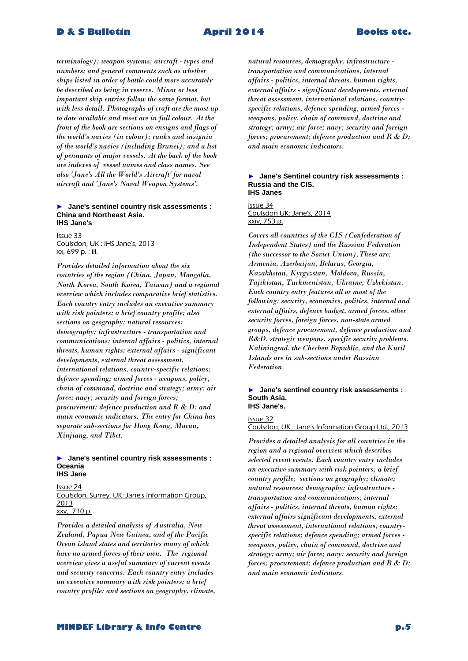*terminology); weapon systems; aircraft - types and numbers; and general comments such as whether ships listed in order of battle could more accurately be described as being in reserve. Minor or less important ship entries follow the same format, but with less detail. Photographs of craft are the most up to date available and most are in full colour. At the front of the book are sections on ensigns and flags of the world's navies (in colour); ranks and insignia of the world's navies (including Brunei); and a list of pennants of major vessels. At the back of the book are indexes of vessel names and class names. See also 'Jane's All the World's Aircraft' for naval aircraft and 'Jane's Naval Weapon Systems'.* 

#### ► **Jane's sentinel country risk assessments : China and Northeast Asia. IHS Jane's**

Issue 33 Coulsdon, UK : IHS Jane's, 2013 xx, 699 p. : ill.

*Provides detailed information about the six countries of the region (China, Japan, Mongolia, North Korea, South Korea, Taiwan) and a regional overview which includes comparative brief statistics. Each country entry includes an executive summary with risk pointers; a brief country profile; also sections on geography; natural resources; demography; infrastructure - transportation and communications; internal affairs - politics, internal threats, human rights; external affairs - significant developments, external threat assessment, international relations, country-specific relations; defence spending; armed forces - weapons, policy, chain of command, doctrine and strategy; army; air force; navy; security and foreign forces; procurement; defence production and R & D; and main economic indicators. The entry for China has separate sub-sections for Hong Kong, Macau, Xinjiang, and Tibet.* 

#### ► **Jane's sentinel country risk assessments : Oceania IHS Jane**

Issue 24 Coulsdon, Surrey, UK: Jane's Information Group, 2013 xxv, 710 p.

*Provides a detailed analysis of Australia, New Zealand, Papua New Guinea, and of the Pacific Ocean island states and territories many of which have no armed forces of their own. The regional overview gives a useful summary of current events and security concerns. Each country entry includes an executive summary with risk pointers; a brief country profile; and sections on geography, climate,* 

*natural resources, demography, infrastructure transportation and communications, internal affairs - politics, internal threats, human rights, external affairs - significant developments, external threat assessment, international relations, countryspecific relations, defence spending, armed forces weapons, policy, chain of command, doctrine and strategy; army; air force; navy; security and foreign forces; procurement; defence production and R & D; and main economic indicators.* 

#### ► **Jane's Sentinel country risk assessments : Russia and the CIS. IHS Janes**

Issue 34 Coulsdon UK: Jane's, 2014 xxiv, 753 p.

*Covers all countries of the CIS (Confederation of Independent States) and the Russian Federation (the successor to the Soviet Union).These are: Armenia, Azerbaijan, Belarus, Georgia, Kazakhstan, Kyrgyzstan, Moldova, Russia, Tajikistan, Turkmenistan, Ukraine, Uzbekistan. Each country entry features all or most of the following: security, economics, politics, internal and external affairs, defence budget, armed forces, other security forces, foreign forces, non-state armed groups, defence procurement, defence production and R&D, strategic weapons, specific security problems. Kaliningrad, the Chechen Republic, and the Kuril Islands are in sub-sections under Russian Federation.* 

#### ► **Jane's sentinel country risk assessments : South Asia. IHS Jane's.**

Issue 32 Coulsdon, UK : Jane's Information Group Ltd., 2013

*Provides a detailed analysis for all countries in the region and a regional overview which describes selected recent events. Each country entry includes an executive summary with risk pointers; a brief country profile; sections on geography; climate; natural resources; demography; infrastructure transportation and communications; internal affairs - politics, internal threats, human rights; external affairs significant developments, external threat assessment, international relations, countryspecific relations; defence spending; armed forces weapons, policy, chain of command, doctrine and strategy; army; air force; navy; security and foreign forces; procurement; defence production and R & D; and main economic indicators.*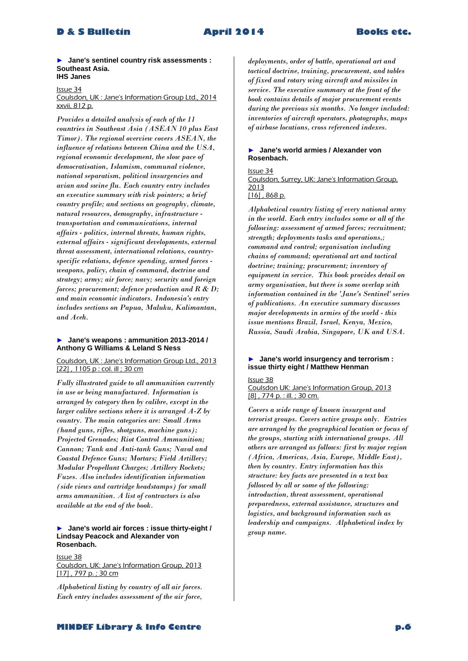► **Jane's sentinel country risk assessments : Southeast Asia. IHS Janes**

Issue 34

Coulsdon, UK : Jane's Information Group Ltd., 2014 xxvii, 812 p.

*Provides a detailed analysis of each of the 11 countries in Southeast Asia (ASEAN 10 plus East Timor). The regional overview covers ASEAN, the influence of relations between China and the USA, regional economic development, the slow pace of democratisation, Islamism, communal violence, national separatism, political insurgencies and avian and swine flu. Each country entry includes an executive summary with risk pointers; a brief country profile; and sections on geography, climate, natural resources, demography, infrastructure transportation and communications, internal affairs - politics, internal threats, human rights, external affairs - significant developments, external threat assessment, international relations, countryspecific relations, defence spending, armed forces weapons, policy, chain of command, doctrine and strategy; army; air force; navy; security and foreign forces; procurement; defence production and R & D; and main economic indicators. Indonesia's entry includes sections on Papua, Maluku, Kalimantan, and Aceh.* 

### ► **Jane's weapons : ammunition 2013-2014 / Anthony G Williams & Leland S Ness**

Coulsdon, UK : Jane's Information Group Ltd., 2013 [22] , 1105 p : col. ill ; 30 cm

*Fully illustrated guide to all ammunition currently in use or being manufactured. Information is arranged by category then by calibre, except in the larger calibre sections where it is arranged A-Z by country. The main categories are: Small Arms (hand guns, rifles, shotguns, machine guns); Projected Grenades; Riot Control Ammunition; Cannon; Tank and Anti-tank Guns; Naval and Coastal Defence Guns; Mortars; Field Artillery; Modular Propellant Charges; Artillery Rockets; Fuzes. Also includes identification information (side views and cartridge headstamps) for small arms ammunition. A list of contractors is also available at the end of the book.* 

#### ► **Jane's world air forces : issue thirty-eight / Lindsay Peacock and Alexander von Rosenbach.**

#### Issue 38

Coulsdon, UK: Jane's Information Group, 2013 [17], 797 p.; 30 cm

*Alphabetical listing by country of all air forces. Each entry includes assessment of the air force,*  *deployments, order of battle, operational art and tactical doctrine, training, procurement, and tables of fixed and rotary wing aircraft and missiles in service. The executive summary at the front of the book contains details of major procurement events during the previous six months. No longer included: inventories of aircraft operators, photographs, maps of airbase locations, cross referenced indexes.* 

# ► **Jane's world armies / Alexander von Rosenbach.**

Issue 34 Coulsdon, Surrey, UK: Jane's Information Group, 2013 [16], 868 p.

*Alphabetical country listing of every national army in the world. Each entry includes some or all of the following: assessment of armed forces; recruitment; strength; deployments tasks and operations,; command and control; organisation including chains of command; operational art and tactical doctrine; training; procurement; inventory of equipment in service. This book provides detail on army organisation, but there is some overlap with information contained in the 'Jane's Sentinel' series of publications. An executive summary discusses major developments in armies of the world - this issue mentions Brazil, Israel, Kenya, Mexico, Russia, Saudi Arabia, Singapore, UK and USA.* 

### ► **Jane's world insurgency and terrorism : issue thirty eight / Matthew Henman**

Issue 38 Coulsdon UK: Jane's Information Group, 2013 [8], 774 p. : ill. ; 30 cm.

*Covers a wide range of known insurgent and terrorist groups. Covers active groups only. Entries are arranged by the geographical location or focus of the groups, starting with international groups. All others are arranged as follows: first by major region (Africa, Americas, Asia, Europe, Middle East), then by country. Entry information has this structure: key facts are presented in a text box followed by all or some of the following: introduction, threat assessment, operational preparedness, external assistance, structures and logistics, and background information such as leadership and campaigns. Alphabetical index by group name.*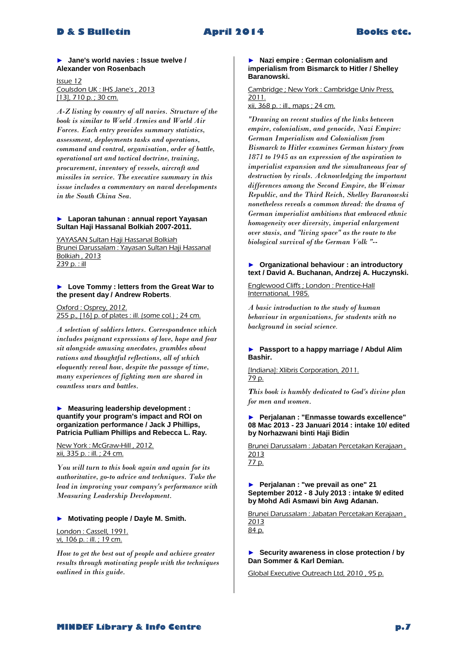► **Jane's world navies : Issue twelve / Alexander von Rosenbach** 

Issue 12 Coulsdon UK : IHS Jane's , 2013 [13], 710 p.; 30 cm.

*A-Z listing by country of all navies. Structure of the book is similar to World Armies and World Air Forces. Each entry provides summary statistics, assessment, deployments tasks and operations, command and control, organisation, order of battle, operational art and tactical doctrine, training, procurement, inventory of vessels, aircraft and missiles in service. The executive summary in this issue includes a commentary on naval developments in the South China Sea.* 

#### ► **Laporan tahunan : annual report Yayasan Sultan Haji Hassanal Bolkiah 2007-2011.**

YAYASAN Sultan Haji Hassanal Bolkiah Brunei Darussalam : Yayasan Sultan Haji Hassanal Bolkiah , 2013 239 p. : ill

### ► **Love Tommy : letters from the Great War to the present day / Andrew Roberts**.

Oxford : Osprey, 2012. 255 p., [16] p. of plates : ill. (some col.) ; 24 cm.

*A selection of soldiers letters. Correspondence which includes poignant expressions of love, hope and fear sit alongside amusing anecdotes, grumbles about rations and thoughtful reflections, all of which eloquently reveal how, despite the passage of time, many experiences of fighting men are shared in countless wars and battles.* 

#### ► **Measuring leadership development : quantify your program's impact and ROI on organization performance / Jack J Phillips, Patricia Pulliam Phillips and Rebecca L. Ray.**

New York : McGraw-Hill , 2012. xii, 335 p. : ill. ; 24 cm.

*You will turn to this book again and again for its authoritative, go-to advice and techniques. Take the lead in improving your company's performance with Measuring Leadership Development.* 

#### ► **Motivating people / Dayle M. Smith.**

London : Cassell, 1991. vi, 106 p. : ill. ; 19 cm.

*How to get the best out of people and achieve greater results through motivating people with the techniques outlined in this guide.* 

#### ► **Nazi empire : German colonialism and imperialism from Bismarck to Hitler / Shelley Baranowski.**

Cambridge ; New York : Cambridge Univ Press, 2011. xii, 368 p. : ill., maps ; 24 cm.

*"Drawing on recent studies of the links between empire, colonialism, and genocide, Nazi Empire: German Imperialism and Colonialism from Bismarck to Hitler examines German history from 1871 to 1945 as an expression of the aspiration to imperialist expansion and the simultaneous fear of destruction by rivals. Acknowledging the important differences among the Second Empire, the Weimar Republic, and the Third Reich, Shelley Baranowski nonetheless reveals a common thread: the drama of German imperialist ambitions that embraced ethnic homogeneity over diversity, imperial enlargement over stasis, and "living space" as the route to the biological survival of the German Volk "--*

#### ► **Organizational behaviour : an introductory text / David A. Buchanan, Andrzej A. Huczynski.**

Englewood Cliffs ; London : Prentice-Hall International, 1985.

*A basic introduction to the study of human behaviour in organizations, for students with no background in social science*.

#### ► **Passport to a happy marriage / Abdul Alim Bashir.**

[Indiana]: Xlibris Corporation, 2011. 79 p.

*This book is humbly dedicated to God's divine plan for men and women.* 

#### ► **Perjalanan : "Enmasse towards excellence" 08 Mac 2013 - 23 Januari 2014 : intake 10/ edited by Norhazwani binti Haji Bidin**

Brunei Darussalam : Jabatan Percetakan Kerajaan , 2013 77 p.

► **Perjalanan : "we prevail as one" 21 September 2012 - 8 July 2013 : intake 9/ edited by Mohd Adi Asmawi bin Awg Adanan.**

Brunei Darussalam : Jabatan Percetakan Kerajaan , 2013 84 p.

### ► **Security awareness in close protection / by Dan Sommer & Karl Demian.**

Global Executive Outreach Ltd, 2010 , 95 p.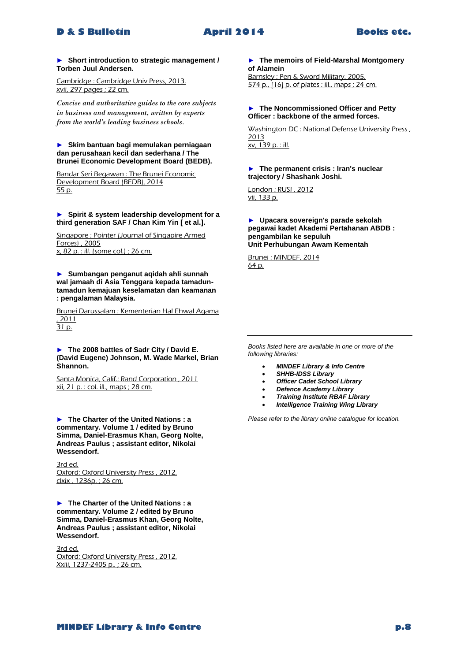

#### ► **Short introduction to strategic management / Torben Juul Andersen.**

Cambridge : Cambridge Univ Press, 2013. xvii, 297 pages ; 22 cm.

*Concise and authoritative guides to the core subjects in business and management, written by experts from the world's leading business schools.* 

#### ► **Skim bantuan bagi memulakan perniagaan dan perusahaan kecil dan sederhana / The Brunei Economic Development Board (BEDB).**

Bandar Seri Begawan : The Brunei Economic Development Board (BEDB), 2014 55 p.

#### ► **Spirit & system leadership development for a third generation SAF / Chan Kim Yin [ et al.].**

Singapore : Pointer (Journal of Singapire Armed Forces) , 2005 x, 82 p. : ill. (some col.) ; 26 cm.

► **Sumbangan penganut aqidah ahli sunnah wal jamaah di Asia Tenggara kepada tamaduntamadun kemajuan keselamatan dan keamanan : pengalaman Malaysia.**

Brunei Darussalam : Kementerian Hal Ehwal Agama , 2011

31 p.

► **The 2008 battles of Sadr City / David E. (David Eugene) Johnson, M. Wade Markel, Brian Shannon.**

Santa Monica, Calif.: Rand Corporation , 2011 xii, 21 p. : col. ill., maps ; 28 cm.

► **The Charter of the United Nations : a commentary. Volume 1 / edited by Bruno Simma, Daniel-Erasmus Khan, Georg Nolte, Andreas Paulus ; assistant editor, Nikolai Wessendorf.**

3rd ed. Oxford: Oxford University Press , 2012. clxix , 1236p. ; 26 cm.

► **The Charter of the United Nations : a commentary. Volume 2 / edited by Bruno Simma, Daniel-Erasmus Khan, Georg Nolte, Andreas Paulus ; assistant editor, Nikolai Wessendorf.**

3rd ed. Oxford: Oxford University Press , 2012. Xxiii, 1237-2405 p.. ; 26 cm.

# ► **The memoirs of Field-Marshal Montgomery of Alamein**

Barnsley : Pen & Sword Military, 2005. 574 p., [16] p. of plates : ill., maps ; 24 cm.

### ► **The Noncommissioned Officer and Petty Officer : backbone of the armed forces.**

Washington DC : National Defense University Press, 2013 xv, 139 p. : ill.

► **The permanent crisis : Iran's nuclear trajectory / Shashank Joshi.**

London : RUSI , 2012 vii, 133 p.

► **Upacara sovereign's parade sekolah pegawai kadet Akademi Pertahanan ABDB : pengambilan ke sepuluh Unit Perhubungan Awam Kementah**

Brunei : MINDEF, 2014 64 p.

*Books listed here are available in one or more of the following libraries:*

- *MINDEF Library & Info Centre*
- *SHHB-IDSS Library*
- *Officer Cadet School Library*
- *Defence Academy Library*
- *Training Institute RBAF Library*
- *Intelligence Training Wing Library*

*Please refer to the library online catalogue for location.*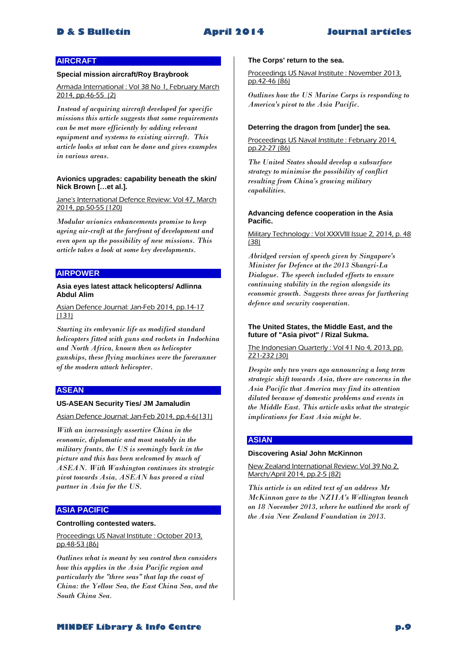# **AIRCRAFT**

### **Special mission aircraft/Roy Braybrook**

Armada International : Vol 38 No 1, February March 2014, pp.46-55 (2)

*Instead of acquiring aircraft developed for specific missions this article suggests that some requirements can be met more efficiently by adding relevant equipment and systems to existing aircraft. This article looks at what can be done and gives examples in various areas.* 

#### **Avionics upgrades: capability beneath the skin/ Nick Brown […et al.].**

Jane's International Defence Review: Vol 47, March 2014, pp.50-55 (120)

*Modular avionics enhancements promise to keep ageing air-craft at the forefront of development and even open up the possibility of new missions. This article takes a look at some key developments.* 

## **AIRPOWER**

#### **Asia eyes latest attack helicopters/ Adlinna Abdul Alim**

Asian Defence Journal: Jan-Feb 2014, pp.14-17 (131)

*Starting its embryonic life as modified standard helicopters fitted with guns and rockets in Indochina and North Africa, known then as helicopter gunships, these flying machines were the forerunner of the modern attack helicopter.* 

# **ASEAN**

#### **US-ASEAN Security Ties/ JM Jamaludin**

Asian Defence Journal: Jan-Feb 2014, pp.4-6(131)

*With an increasingly assertive China in the economic, diplomatic and most notably in the military fronts, the US is seemingly back in the picture and this has been welcomed by much of ASEAN. With Washington continues its strategic pivot towards Asia, ASEAN has proved a vital partner in Asia for the US.* 

# **ASIA PACIFIC**

### **Controlling contested waters.**

Proceedings US Naval Institute : October 2013, pp.48-53 (86)

*Outlines what is meant by sea control then considers how this applies in the Asia Pacific region and particularly the "three seas" that lap the coast of China: the Yellow Sea, the East China Sea, and the South China Sea.* 

#### **The Corps' return to the sea.**

Proceedings US Naval Institute : November 2013, pp.42-46 (86)

*Outlines how the US Marine Corps is responding to America's pivot to the Asia Pacific.* 

#### **Deterring the dragon from [under] the sea.**

Proceedings US Naval Institute : February 2014, pp.22-27 (86)

*The United States should develop a subsurface strategy to minimise the possibility of conflict resulting from China's growing military capabilities.* 

#### **Advancing defence cooperation in the Asia Pacific.**

Military Technology : Vol XXXVIII Issue 2, 2014, p. 48 (38)

*Abridged version of speech given by Singapore's Minister for Defence at the 2013 Shangri-La Dialogue. The speech included efforts to ensure continuing stability in the region alongside its economic growth. Suggests three areas for furthering defence and security cooperation.* 

#### **The United States, the Middle East, and the future of "Asia pivot" / Rizal Sukma.**

The Indonesian Quarterly : Vol 41 No 4, 2013, pp. 221-232 (30)

*Despite only two years ago announcing a long term strategic shift towards Asia, there are concerns in the Asia Pacific that America may find its attention diluted because of domestic problems and events in the Middle East. This article asks what the strategic implications for East Asia might be.* 

#### **ASIAN**

#### **Discovering Asia/ John McKinnon**

New Zealand International Review: Vol 39 No 2, March/April 2014, pp.2-5 (82)

*This article is an edited text of an address Mr McKinnon gave to the NZIIA's Wellington branch on 18 November 2013, where he outlined the work of the Asia New Zealand Foundation in 2013.*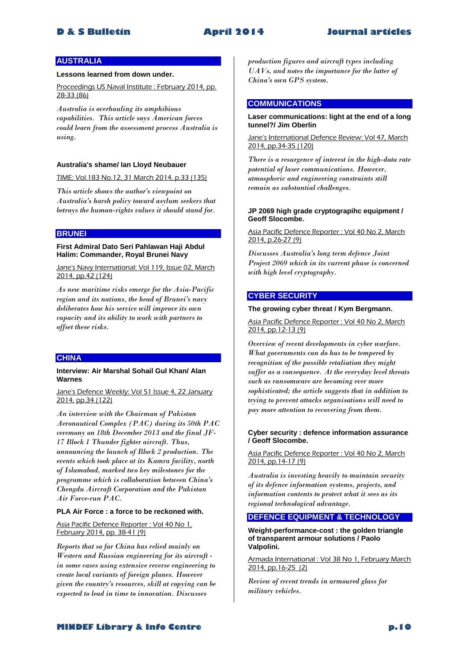# **AUSTRALIA**

### **Lessons learned from down under.**

Proceedings US Naval Institute : February 2014, pp. 28-33 (86)

*Australia is overhauling its amphibious capabilities. This article says American forces could learn from the assessment process Australia is using.* 

#### **Australia's shame/ Ian Lloyd Neubauer**

TIME: Vol.183 No.12, 31 March 2014, p.33 (135)

*This article shows the author's viewpoint on Australia's harsh policy toward asylum seekers that betrays the human-rights values it should stand for.* 

### **BRUNEI**

#### **First Admiral Dato Seri Pahlawan Haji Abdul Halim: Commander, Royal Brunei Navy**

Jane's Navy International: Vol 119, Issue 02, March 2014, pp.42 (124)

*As new maritime risks emerge for the Asia-Pacific region and its nations, the head of Brunei's navy deliberates how his service will improve its own capacity and its ability to work with partners to offset these risks.* 

### **CHINA**

#### **Interview: Air Marshal Sohail Gul Khan/ Alan Warnes**

Jane's Defence Weekly: Vol 51 Issue 4, 22 January 2014, pp.34 (122)

*An interview with the Chairman of Pakistan Aeronautical Complex (PAC) during its 50th PAC ceremony on 18th December 2013 and the final JF-17 Block 1 Thunder fighter aircraft. Thus, announcing the launch of Block 2 production. The events which took place at its Kamra facility, north of Islamabad, marked two key milestones for the programme which is collaboration between China's Chengdu Aircraft Corporation and the Pakistan Air Force-run PAC.* 

#### **PLA Air Force : a force to be reckoned with.**

# Asia Pacific Defence Reporter : Vol 40 No 1, February 2014, pp. 38-41 (9)

*Reports that so far China has relied mainly on Western and Russian engineering for its aircraft in some cases using extensive reverse engineering to create local variants of foreign planes. However given the country's resources, skill at copying can be expected to lead in time to innovation. Discusses* 

*production figures and aircraft types including UAVs, and notes the importance for the latter of China's own GPS system.* 

### **COMMUNICATIONS**

# **Laser communications: light at the end of a long tunnel?/ Jim Oberlin**

Jane's International Defence Review: Vol 47, March 2014, pp.34-35 (120)

*There is a resurgence of interest in the high-data rate potential of laser communications. However, atmospheric and engineering constraints still remain as substantial challenges.* 

#### **JP 2069 high grade cryptograpihc equipment / Geoff Slocombe.**

#### Asia Pacific Defence Reporter : Vol 40 No 2, March 2014, p.26-27 (9)

*Discusses Australia's long term defence Joint Project 2069 which in its current phase is concerned with high level cryptography.* 

# **CYBER SECURITY**

#### **The growing cyber threat / Kym Bergmann.**

Asia Pacific Defence Reporter : Vol 40 No 2, March 2014, pp.12-13 (9)

*Overview of recent developments in cyber warfare. What governments can do has to be tempered by recognition of the possible retaliation they might suffer as a consequence. At the everyday level threats such as ransomware are becoming ever more sophisticated; the article suggests that in addition to trying to prevent attacks organisations will need to pay more attention to recovering from them.* 

#### **Cyber security : defence information assurance / Geoff Slocombe.**

#### Asia Pacific Defence Reporter : Vol 40 No 2, March 2014, pp.14-17 (9)

*Australia is investing heavily to maintain security of its defence information systems, projects, and information contents to protect what it sees as its regional technological advantage.* 

# **DEFENCE EQUIPMENT & TECHNOLOGY**

**Weight-performance-cost : the golden triangle of transparent armour solutions / Paolo Valpolini.**

Armada International : Vol 38 No 1, February March 2014, pp.16-25 (2)

*Review of recent trends in armoured glass for military vehicles.*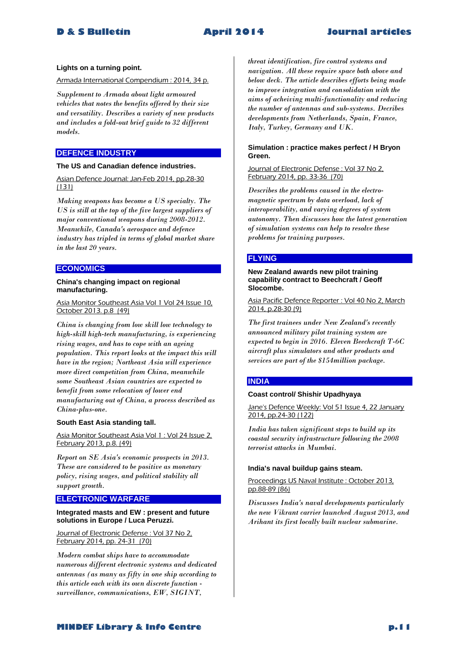#### **Lights on a turning point.**

Armada International Compendium : 2014, 34 p.

*Supplement to Armada about light armoured vehicles that notes the benefits offered by their size and versatility. Describes a variety of new products and includes a fold-out brief guide to 32 different models.* 

# **DEFENCE INDUSTRY**

#### **The US and Canadian defence industries.**

Asian Defence Journal: Jan-Feb 2014, pp.28-30 (131)

*Making weapons has become a US specialty. The US is still at the top of the five largest suppliers of major conventional weapons during 2008-2012. Meanwhile, Canada's aerospace and defence industry has tripled in terms of global market share in the last 20 years.* 

# **ECONOMICS**

#### **China's changing impact on regional manufacturing.**

Asia Monitor Southeast Asia Vol 1 Vol 24 Issue 10, October 2013. p.8 (49)

*China is changing from low skill low technology to high-skill high-tech manufacturing, is experiencing rising wages, and has to cope with an ageing population. This report looks at the impact this will have in the region; Northeast Asia will experience more direct competition from China, meanwhile some Southeast Asian countries are expected to benefit from some relocation of lower end manufacturing out of China, a process described as China-plus-one.* 

#### **South East Asia standing tall.**

Asia Monitor Southeast Asia Vol 1 : Vol 24 Issue 2, February 2013, p.8. (49)

*Report on SE Asia's economic prospects in 2013. These are considered to be positive as monetary policy, rising wages, and political stability all support growth.* 

# **ELECTRONIC WARFARE**

#### **Integrated masts and EW : present and future solutions in Europe / Luca Peruzzi.**

Journal of Electronic Defense : Vol 37 No 2, February 2014, pp. 24-31 (70)

*Modern combat ships have to accommodate numerous different electronic systems and dedicated antennas (as many as fifty in one ship according to this article each with its own discrete function surveillance, communications, EW, SIGINT,* 

*threat identification, fire control systems and navigation. All these require space both above and below deck. The article describes efforts being made to improve integration and consolidation with the aims of acheiving multi-functionality and reducing the number of antennas and sub-systems. Decribes developments from Netherlands, Spain, France, Italy, Turkey, Germany and UK.* 

# **Simulation : practice makes perfect / H Bryon Green.**

Journal of Electronic Defense : Vol 37 No 2, February 2014, pp. 33-36 (70)

*Describes the problems caused in the electromagnetic spectrum by data overload, lack of interoperability, and varying degrees of system autonomy. Then discusses how the latest generation of simulation systems can help to resolve these problems for training purposes.* 

# **FLYING**

**New Zealand awards new pilot training capability contract to Beechcraft / Geoff Slocombe.**

Asia Pacific Defence Reporter : Vol 40 No 2, March  $2014$ , p. $28-30(9)$ 

*The first trainees under New Zealand's recently announced military pilot training system are expected to begin in 2016. Eleven Beechcraft T-6C aircraft plus simulators and other products and services are part of the \$154million package.* 

# **INDIA**

#### **Coast control/ Shishir Upadhyaya**

Jane's Defence Weekly: Vol 51 Issue 4, 22 January 2014, pp.24-30 (122)

*India has taken significant steps to build up its coastal security infrastructure following the 2008 terrorist attacks in Mumbai.* 

#### **India's naval buildup gains steam.**

Proceedings US Naval Institute : October 2013, pp.88-89 (86)

*Discusses India's naval developments particularly the new Vikrant carrier launched August 2013, and Arihant its first locally built nuclear submarine.*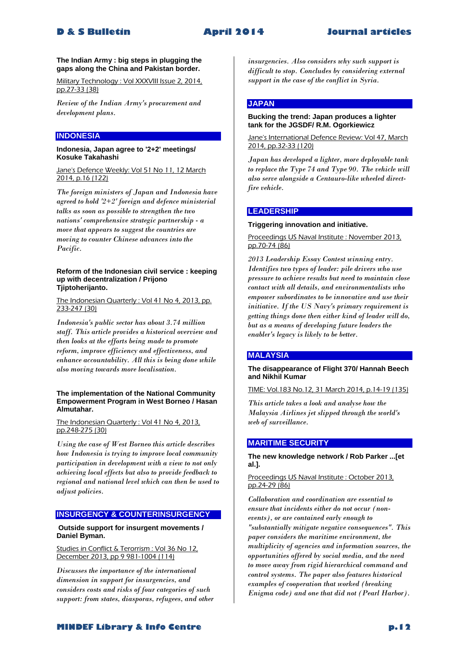#### **The Indian Army : big steps in plugging the gaps along the China and Pakistan border.**

Military Technology : Vol XXXVIII Issue 2, 2014, pp.27-33 (38)

*Review of the Indian Army's procurement and development plans.* 

# **INDONESIA**

#### **Indonesia, Japan agree to '2+2' meetings/ Kosuke Takahashi**

Jane's Defence Weekly: Vol 51 No 11, 12 March 2014, p.16 (122)

*The foreign ministers of Japan and Indonesia have agreed to hold '2+2' foreign and defence ministerial talks as soon as possible to strengthen the two nations' comprehensive strategic partnership - a move that appears to suggest the countries are moving to counter Chinese advances into the Pacific.* 

#### **Reform of the Indonesian civil service : keeping up with decentralization / Prijono Tjiptoherijanto.**

The Indonesian Quarterly : Vol 41 No 4, 2013, pp. 233-247 (30)

*Indonesia's public sector has about 3.74 million staff. This article provides a historical overview and then looks at the efforts being made to promote reform, improve efficiency and effectiveness, and enhance accountability. All this is being done while also moving towards more localisation.* 

#### **The implementation of the National Community Empowerment Program in West Borneo / Hasan Almutahar.**

#### The Indonesian Quarterly : Vol 41 No 4, 2013, pp.248-275 (30)

*Using the case of West Borneo this article describes how Indonesia is trying to improve local community participation in development with a view to not only achieving local effects but also to provide feedback to regional and national level which can then be used to adjust policies.* 

# **INSURGENCY & COUNTERINSURGENCY**

#### **Outside support for insurgent movements / Daniel Byman.**

Studies in Conflict & Terorrism : Vol 36 No 12, December 2013, pp 9 981-1004 (114)

*Discusses the importance of the international dimension in support for insurgencies, and considers costs and risks of four categories of such support: from states, diasporas, refugees, and other*  *insurgencies. Also considers why such support is difficult to stop. Concludes by considering external support in the case of the conflict in Syria.* 

# **JAPAN**

#### **Bucking the trend: Japan produces a lighter tank for the JGSDF/ R.M. Ogorkiewicz**

Jane's International Defence Review: Vol 47, March 2014, pp.32-33 (120)

*Japan has developed a lighter, more deployable tank to replace the Type 74 and Type 90. The vehicle will also serve alongside a Centauro-like wheeled directfire vehicle.* 

# **LEADERSHIP**

#### **Triggering innovation and initiative.**

Proceedings US Naval Institute : November 2013, pp.70-74 (86)

*2013 Leadership Essay Contest winning entry. Identifies two types of leader: pile drivers who use pressure to achieve results but need to maintain close contact with all details, and environmentalists who empower subordinates to be innovative and use their initiative. If the US Navy's primary requirement is getting things done then either kind of leader will do, but as a means of developing future leaders the enabler's legacy is likely to be better.* 

# **MALAYSIA**

#### **The disappearance of Flight 370/ Hannah Beech and Nikhil Kumar**

TIME: Vol.183 No.12, 31 March 2014, p.14-19 (135)

*This article takes a look and analyse how the Malaysia Airlines jet slipped through the world's web of surveillance.* 

# **MARITIME SECURITY**

# **The new knowledge network / Rob Parker ...[et al.].**

#### Proceedings US Naval Institute : October 2013, pp.24-29 (86)

*Collaboration and coordination are essential to ensure that incidents either do not occur (nonevents), or are contained early enough to "substantially mitigate negative consequences". This paper considers the maritime environment, the multiplicity of agencies and information sources, the opportunities offered by social media, and the need to move away from rigid hierarchical command and control systems. The paper also features historical examples of cooperation that worked (breaking Enigma code) and one that did not (Pearl Harbor).*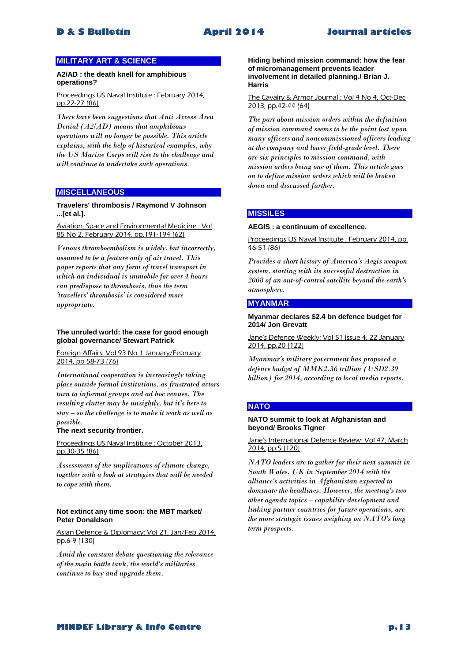# **MILITARY ART & SCIENCE**

#### **A2/AD : the death knell for amphibious operations?**

Proceedings US Naval Institute : February 2014, pp.22-27 (86)

*There have been suggestions that Anti Access Area Denial (A2/AD) means that amphibious operations will no longer be possible. This article explains, with the help of historical examples, why the US Marine Corps will rise to the challenge and will continue to undertake such operations.* 

#### **MISCELLANEOUS**

**Travelers' thrombosis / Raymond V Johnson ...[et al.].**

Aviation, Space and Environmental Medicine : Vol 85 No 2, February 2014, pp.191-194 (62)

*Venous thromboembolism is widely, but incorrectly, assumed to be a feature only of air travel. This paper reports that any form of travel transport in which an individual is immobile for over 4 hours can predispose to thrombosis, thus the term 'travellers' thrombosis' is considered more appropriate.* 

#### **The unruled world: the case for good enough global governance/ Stewart Patrick**

Foreign Affairs: Vol 93 No 1 January/February 2014, pp 58-73 (76)

*International cooperation is increasingly taking place outside formal institutions, as frustrated actors turn to informal groups and ad hoc venues. The resulting clutter may be unsightly, but it's here to stay – so the challenge is to make it work as well as possible.* 

### **The next security frontier.**

Proceedings US Naval Institute : October 2013, pp.30-35 (86)

*Assessment of the implications of climate change, together with a look at strategies that will be needed to cope with them.* 

#### **Not extinct any time soon: the MBT market/ Peter Donaldson**

Asian Defence & Diplomacy: Vol 21, Jan/Feb 2014, pp.6-9 (130)

*Amid the constant debate questioning the relevance of the main battle tank, the world's militaries continue to buy and upgrade them.* 

**Hiding behind mission command: how the fear of micromanagement prevents leader involvement in detailed planning./ Brian J. Harris**

#### The Cavalry & Armor Journal : Vol 4 No 4, Oct-Dec 2013, pp.42-44 (64)

*The part about mission orders within the definition of mission command seems to be the point lost upon many officers and noncommissioned officers leading at the company and lower field-grade level. There are six principles to mission command, with mission orders being one of them. This article goes on to define mission orders which will be broken down and discussed further.* 

# **MISSILES**

#### **AEGIS : a continuum of excellence.**

Proceedings US Naval Institute : February 2014, pp. 46-51 (86)

*Provides a short history of America's Aegis weapon system, starting with its successful destruction in 2008 of an out-of-control satellite beyond the earth's atmosphere.* 

#### **MYANMAR**

#### **Myanmar declares \$2.4 bn defence budget for 2014/ Jon Grevatt**

Jane's Defence Weekly: Vol 51 Issue 4, 22 January 2014, pp.20 (122)

*Myanmar's military government has proposed a defence budget of MMK2.36 trillion (USD2.39 billion) for 2014, according to local media reports.* 

# **NATO**

#### **NATO summit to look at Afghanistan and beyond/ Brooks Tigner**

#### Jane's International Defence Review: Vol 47, March 2014, pp.5 (120)

*NATO leaders are to gather for their next summit in South Wales, UK in September 2014 with the alliance's activities in Afghanistan expected to dominate the headlines. However, the meeting's two other agenda topics – capability development and linking partner countries for future operations, are the more strategic issues weighing on NATO's long term prospects.*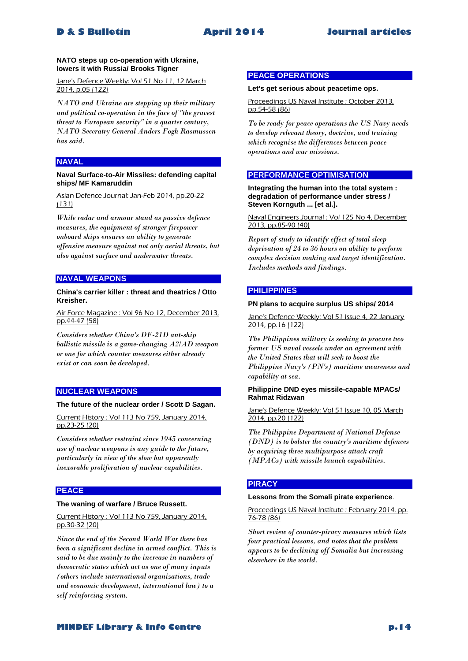#### **NATO steps up co-operation with Ukraine, lowers it with Russia/ Brooks Tigner**

Jane's Defence Weekly: Vol 51 No 11, 12 March 2014, p.05 (122)

*NATO and Ukraine are stepping up their military and political co-operation in the face of "the gravest threat to European security" in a quarter century, NATO Seceratry General Anders Fogh Rasmussen has said.* 

# **NAVAL**

#### **Naval Surface-to-Air Missiles: defending capital ships/ MF Kamaruddin**

Asian Defence Journal: Jan-Feb 2014, pp.20-22 (131)

*While radar and armour stand as passive defence measures, the equipment of stronger firepower onboard ships ensures an ability to generate offensive measure against not only aerial threats, but also against surface and underwater threats.* 

# **NAVAL WEAPONS**

### **China's carrier killer : threat and theatrics / Otto Kreisher.**

Air Force Magazine : Vol 96 No 12, December 2013, pp.44-47 (58)

*Considers whether China's DF-21D ant-ship ballistic missile is a game-changing A2/AD weapon or one for which counter measures either already exist or can soon be developed.* 

# **NUCLEAR WEAPONS**

#### **The future of the nuclear order / Scott D Sagan.**

Current History : Vol 113 No 759, January 2014, pp.23-25 (20)

*Considers whether restraint since 1945 concerning use of nuclear weapons is any guide to the future, particularly in view of the slow but apparently inexorable proliferation of nuclear capabilities.* 

# **PEACE**

#### **The waning of warfare / Bruce Russett.**

#### Current History : Vol 113 No 759, January 2014, pp.30-32 (20)

*Since the end of the Second World War there has been a significant decline in armed conflict. This is said to be due mainly to the increase in numbers of democratic states which act as one of many inputs (others include international organizations, trade and economic development, international law) to a self reinforcing system.* 

# **PEACE OPERATIONS**

#### **Let's get serious about peacetime ops.**

# Proceedings US Naval Institute : October 2013, pp.54-58 (86)

*To be ready for peace operations the US Navy needs to develop relevant theory, doctrine, and training which recognise the differences between peace operations and war missions.* 

# **PERFORMANCE OPTIMISATION**

**Integrating the human into the total system : degradation of performance under stress / Steven Kornguth ... [et al.].**

Naval Engineers Journal : Vol 125 No 4, December 2013, pp.85-90 (40)

*Report of study to identify effect of total sleep deprivation of 24 to 36 hours on ability to perform complex decision making and target identification. Includes methods and findings.* 

# **PHILIPPINES**

#### **PN plans to acquire surplus US ships/ 2014**

Jane's Defence Weekly: Vol 51 Issue 4, 22 January 2014, pp.16 (122)

*The Philippines military is seeking to procure two former US naval vessels under an agreement with the United States that will seek to boost the Philippine Navy's (PN's) maritime awareness and capability at sea.* 

### **Philippine DND eyes missile-capable MPACs/ Rahmat Ridzwan**

#### Jane's Defence Weekly: Vol 51 Issue 10, 05 March 2014, pp.20 (122)

*The Philippine Department of National Defense (DND) is to bolster the country's maritime defences by acquiring three multipurpose attack craft (MPACs) with missile launch capabilities.* 

# **PIRACY**

#### **Lessons from the Somali pirate experience**.

Proceedings US Naval Institute : February 2014, pp. 76-78 (86)

*Short review of counter-piracy measures which lists four practical lessons, and notes that the problem appears to be declining off Somalia but increasing elsewhere in the world.*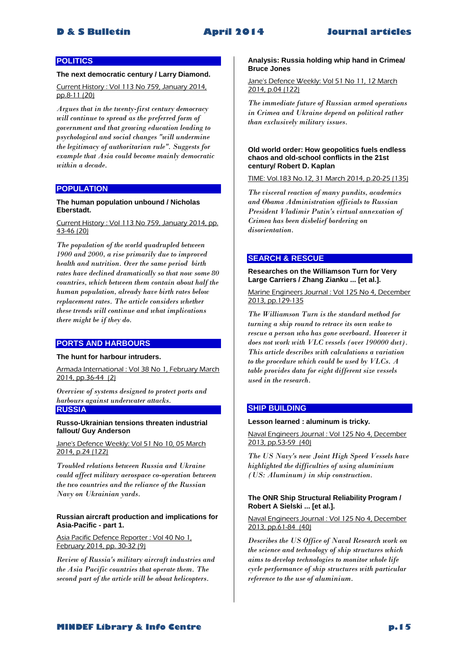# **POLITICS**

#### **The next democratic century / Larry Diamond.**

Current History : Vol 113 No 759, January 2014, pp.8-11 (20)

*Argues that in the twenty-first century democracy will continue to spread as the preferred form of government and that growing education leading to psychological and social changes "will undermine the legitimacy of authoritarian rule". Suggests for example that Asia could become mainly democratic within a decade.* 

# **POPULATION**

#### **The human population unbound / Nicholas Eberstadt.**

#### Current History : Vol 113 No 759, January 2014, pp. 43-46 (20)

*The population of the world quadrupled between 1900 and 2000, a rise primarily due to improved health and nutrition. Over the same period birth rates have declined dramatically so that now some 80 countries, which between them contain about half the human population, already have birth rates below replacement rates. The article considers whether these trends will continue and what implications there might be if they do.* 

### **PORTS AND HARBOURS**

# **The hunt for harbour intruders.**

Armada International : Vol 38 No 1, February March 2014, pp.36-44 (2)

*Overview of systems designed to protect ports and harbours against underwater attacks.*  **RUSSIA**

**Russo-Ukrainian tensions threaten industrial fallout/ Guy Anderson**

Jane's Defence Weekly: Vol 51 No 10, 05 March 2014, p.24 (122)

*Troubled relations between Russia and Ukraine could affect military aerospace co-operation between the two countries and the reliance of the Russian Navy on Ukrainian yards.* 

#### **Russian aircraft production and implications for Asia-Pacific - part 1.**

Asia Pacific Defence Reporter : Vol 40 No 1, February 2014, pp. 30-32 (9)

*Review of Russia's military aircraft industries and the Asia Pacific countries that operate them. The second part of the article will be about helicopters.* 

#### **Analysis: Russia holding whip hand in Crimea/ Bruce Jones**

Jane's Defence Weekly: Vol 51 No 11, 12 March 2014, p.04 (122)

*The immediate future of Russian armed operations in Crimea and Ukraine depend on political rather than exclusively military issues.* 

#### **Old world order: How geopolitics fuels endless chaos and old-school conflicts in the 21st century/ Robert D. Kaplan**

TIME: Vol.183 No.12, 31 March 2014, p.20-25 (135)

*The visceral reaction of many pundits, academics and Obama Administration officials to Russian President Vladimir Putin's virtual annexation of Crimea has been disbelief bordering on disorientation.* 

# **SEARCH & RESCUE**

**Researches on the Williamson Turn for Very Large Carriers / Zhang Zianku ... [et al.].**

Marine Engineers Journal : Vol 125 No 4, December 2013, pp.129-135

*The Williamson Turn is the standard method for turning a ship round to retrace its own wake to rescue a person who has gone overboard. However it does not work with VLC vessels (over 190000 dwt). This article describes with calculations a variation to the procedure which could be used by VLCs. A table provides data for eight different size vessels used in the research.* 

# **SHIP BUILDING**

#### **Lesson learned : aluminum is tricky.**

Naval Engineers Journal : Vol 125 No 4, December 2013, pp.53-59 (40)

*The US Navy's new Joint High Speed Vessels have highlighted the difficulties of using aluminium (US: Aluminum) in ship construction.* 

#### **The ONR Ship Structural Reliability Program / Robert A Sielski ... [et al.].**

#### Naval Engineers Journal : Vol 125 No 4, December 2013, pp.61-84 (40)

*Describes the US Office of Naval Research work on the science and technology of ship structures which aims to develop technologies to monitor whole life cycle performance of ship structures with particular reference to the use of aluminium.*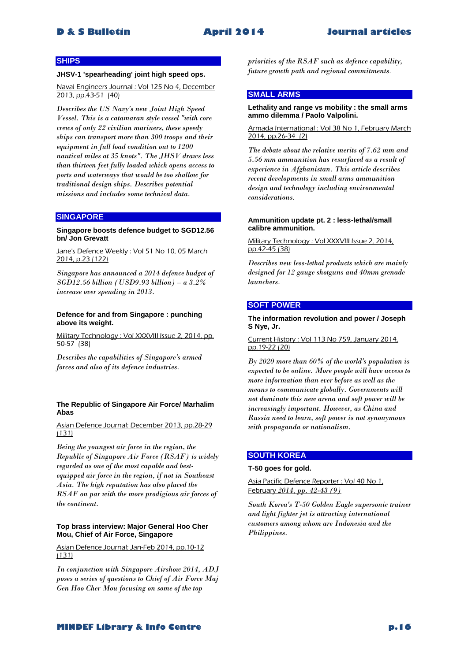### **SHIPS**

#### **JHSV-1 'spearheading' joint high speed ops.**

Naval Engineers Journal : Vol 125 No 4, December 2013, pp.43-51 (40)

*Describes the US Navy's new Joint High Speed Vessel. This is a catamaran style vessel "with core crews of only 22 civilian mariners, these speedy ships can transport more than 300 troops and their equipment in full load condition out to 1200 nautical miles at 35 knots". The JHSV draws less than thirteen feet fully loaded which opens access to ports and waterways that would be too shallow for traditional design ships. Describes potential missions and includes some technical data.* 

# **SINGAPORE**

**Singapore boosts defence budget to SGD12.56 bn/ Jon Grevatt**

Jane's Defence Weekly : Vol 51 No 10, 05 March 2014, p.23 (122)

*Singapore has announced a 2014 defence budget of SGD12.56 billion (USD9.93 billion) – a 3.2% increase over spending in 2013.* 

#### **Defence for and from Singapore : punching above its weight.**

Military Technology : Vol XXXVIII Issue 2, 2014, pp. 50-57 (38)

*Describes the capabilities of Singapore's armed forces and also of its defence industries.* 

#### **The Republic of Singapore Air Force/ Marhalim Abas**

#### Asian Defence Journal: December 2013, pp.28-29 (131)

*Being the youngest air force in the region, the Republic of Singapore Air Force (RSAF) is widely regarded as one of the most capable and bestequipped air force in the region, if not in Southeast Asia. The high reputation has also placed the RSAF on par with the more prodigious air forces of the continent.* 

#### **Top brass interview: Major General Hoo Cher Mou, Chief of Air Force, Singapore**

Asian Defence Journal: Jan-Feb 2014, pp.10-12 (131)

*In conjunction with Singapore Airshow 2014, ADJ poses a series of questions to Chief of Air Force Maj Gen Hoo Cher Mou focusing on some of the top* 

*priorities of the RSAF such as defence capability, future growth path and regional commitments*.

# **SMALL ARMS**

#### **Lethality and range vs mobility : the small arms ammo dilemma / Paolo Valpolini.**

Armada International : Vol 38 No 1, February March 2014, pp.26-34 (2)

*The debate about the relative merits of 7.62 mm and 5.56 mm ammunition has resurfaced as a result of experience in Afghanistan. This article describes recent developments in small arms ammunition design and technology including environmental considerations.* 

#### **Ammunition update pt. 2 : less-lethal/small calibre ammunition.**

Military Technology : Vol XXXVIII Issue 2, 2014, pp.42-45 (38)

*Describes new less-lethal products which are mainly designed for 12 gauge shotguns and 40mm grenade launchers.* 

# **SOFT POWER**

#### **The information revolution and power / Joseph S Nye, Jr.**

#### Current History : Vol 113 No 759, January 2014, pp.19-22 (20)

*By 2020 more than 60% of the world's population is expected to be online. More people will have access to more information than ever before as well as the means to communicate globally. Governments will not dominate this new arena and soft power will be increasingly important. However, as China and Russia need to learn, soft power is not synonymous with propaganda or nationalism.* 

# **SOUTH KOREA**

#### **T-50 goes for gold.**

Asia Pacific Defence Reporter : Vol 40 No 1, February *2014, pp. 42-43 (9)*

*South Korea's T-50 Golden Eagle supersonic trainer and light fighter jet is attracting international customers among whom are Indonesia and the Philippines.*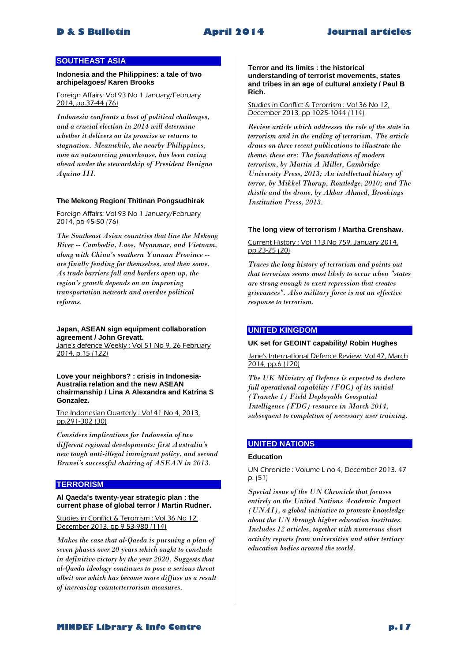# **SOUTHEAST ASIA**

**Indonesia and the Philippines: a tale of two archipelagoes/ Karen Brooks**

Foreign Affairs: Vol 93 No 1 January/February 2014, pp.37-44 (76)

*Indonesia confronts a host of political challenges, and a crucial election in 2014 will determine whether it delivers on its promise or returns to stagnation. Meanwhile, the nearby Philippines, now an outsourcing powerhouse, has been racing ahead under the stewardship of President Benigno Aquino III.* 

# **The Mekong Region/ Thitinan Pongsudhirak**

Foreign Affairs: Vol 93 No 1 January/February 2014, pp 45-50 (76)

*The Southeast Asian countries that line the Mekong River -- Cambodia, Laos, Myanmar, and Vietnam, along with China's southern Yunnan Province - are finally fending for themselves, and then some. As trade barriers fall and borders open up, the region's growth depends on an improving transportation network and overdue political reforms.* 

**Japan, ASEAN sign equipment collaboration agreement / John Grevatt.** Jane's defence Weekly : Vol 51 No 9, 26 February

2014, p.15 (122)

**Love your neighbors? : crisis in Indonesia-Australia relation and the new ASEAN chairmanship / Lina A Alexandra and Katrina S Gonzalez.**

The Indonesian Quarterly : Vol 41 No 4, 2013, pp.291-302 (30)

*Considers implications for Indonesia of two different regional developments: first Australia's new tough anti-illegal immigrant policy, and second Brunei's successful chairing of ASEAN in 2013.* 

# **TERRORISM**

**Al Qaeda's twenty-year strategic plan : the current phase of global terror / Martin Rudner.**

Studies in Conflict & Terorrism : Vol 36 No 12, December 2013, pp 9 53-980 (114)

*Makes the case that al-Qaeda is pursuing a plan of seven phases over 20 years which ought to conclude in definitive victory by the year 2020. Suggests that al-Qaeda ideology continues to pose a serious threat albeit one which has become more diffuse as a result of increasing counterterrorism measures.* 

**Terror and its limits : the historical understanding of terrorist movements, states and tribes in an age of cultural anxiety / Paul B Rich.** 

Studies in Conflict & Terorrism : Vol 36 No 12, December 2013, pp 1025-1044 (114)

*Review article which addresses the role of the state in terrorism and in the ending of terrorism. The article draws on three recent publications to illustrate the theme, these are: The foundations of modern terrorism, by Martin A Miller, Cambridge University Press, 2013; An intellectual history of terror, by Mikkel Thorup, Routledge, 2010; and The thistle and the drone, by Akbar Ahmed, Brookings Institution Press, 2013.* 

#### **The long view of terrorism / Martha Crenshaw.**

Current History : Vol 113 No 759, January 2014, pp.23-25 (20)

*Traces the long history of terrorism and points out that terrorism seems most likely to occur when "states are strong enough to exert repression that creates grievances". Also military force is not an effective response to terrorism.* 

### **UNITED KINGDOM**

#### **UK set for GEOINT capability/ Robin Hughes**

Jane's International Defence Review: Vol 47, March 2014, pp.6 (120)

*The UK Ministry of Defence is expected to declare full operational capability (FOC) of its initial (Tranche 1) Field Deployable Geospatial Intelligence (FDG) resource in March 2014, subsequent to completion of necessary user training.* 

### **UNITED NATIONS**

#### **Education**

#### UN Chronicle : Volume L no 4, December 2013. 47 p. (51)

*Special issue of the UN Chronicle that focuses entirely on the United Nations Academic Impact (UNAI), a global initiative to promote knowledge about the UN through higher education institutes. Includes 12 articles, together with numerous short activity reports from universities and other tertiary education bodies around the world.*